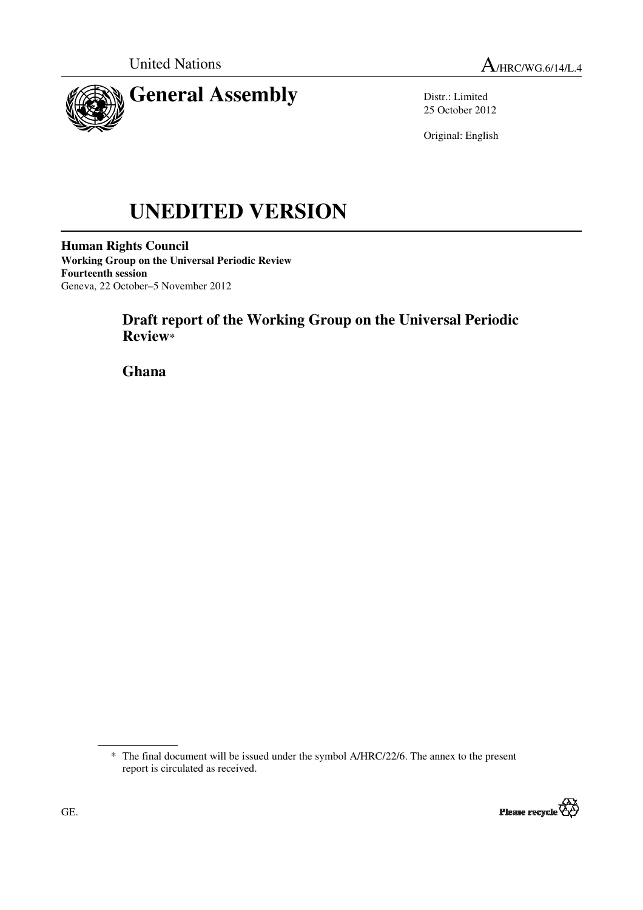

Distr.: Limited 25 October 2012

Original: English

# **UNEDITED VERSION**

**Human Rights Council Working Group on the Universal Periodic Review Fourteenth session**  Geneva, 22 October–5 November 2012

# **Draft report of the Working Group on the Universal Periodic Review\***

 **Ghana** 

<sup>\*</sup> The final document will be issued under the symbol A/HRC/22/6. The annex to the present report is circulated as received.

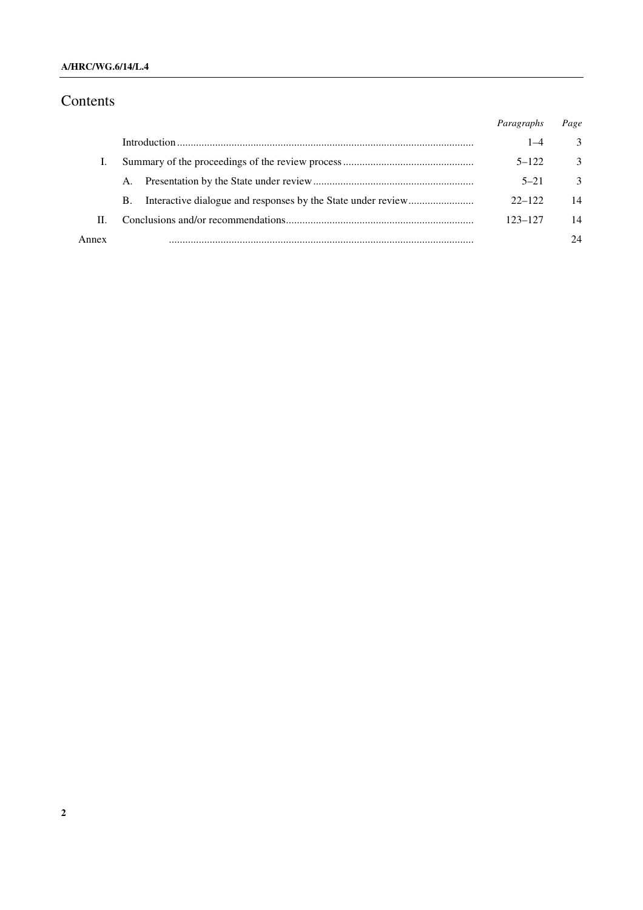#### **A/HRC/WG.6/14/L.4**

# Contents

|       |    | Paragraphs | Page          |
|-------|----|------------|---------------|
|       |    | 1–4        | 3             |
|       |    | $5 - 122$  | $\mathcal{E}$ |
|       | A. | $5 - 21$   | $\mathcal{E}$ |
|       | B. | $22 - 122$ | 14            |
| П.    |    | 123–127    | 14            |
| Annex |    |            | 24            |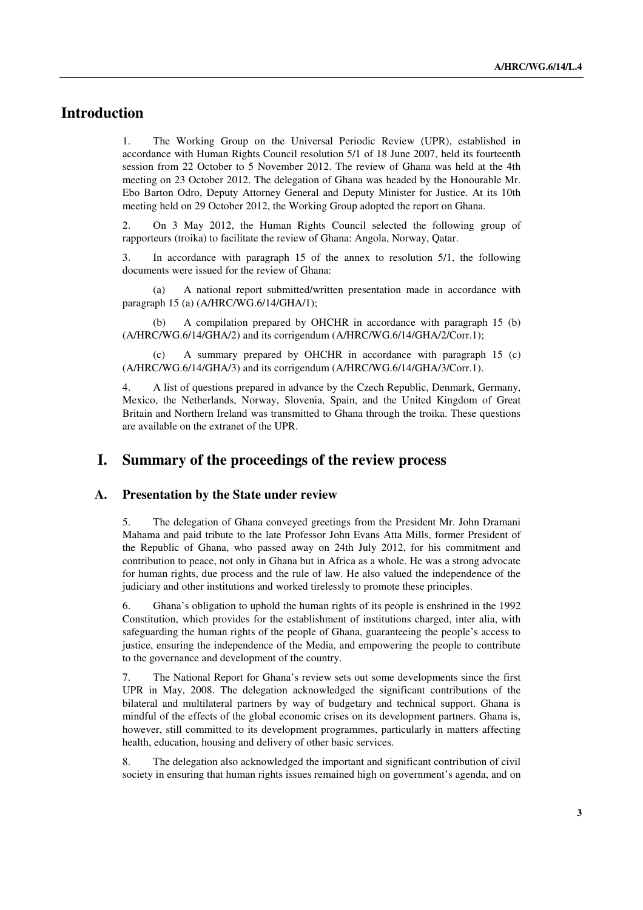# **Introduction**

1. The Working Group on the Universal Periodic Review (UPR), established in accordance with Human Rights Council resolution 5/1 of 18 June 2007, held its fourteenth session from 22 October to 5 November 2012. The review of Ghana was held at the 4th meeting on 23 October 2012. The delegation of Ghana was headed by the Honourable Mr. Ebo Barton Odro, Deputy Attorney General and Deputy Minister for Justice. At its 10th meeting held on 29 October 2012, the Working Group adopted the report on Ghana.

2. On 3 May 2012, the Human Rights Council selected the following group of rapporteurs (troika) to facilitate the review of Ghana: Angola, Norway, Qatar.

3. In accordance with paragraph 15 of the annex to resolution 5/1, the following documents were issued for the review of Ghana:

 (a) A national report submitted/written presentation made in accordance with paragraph 15 (a) (A/HRC/WG.6/14/GHA/1);

 (b) A compilation prepared by OHCHR in accordance with paragraph 15 (b) (A/HRC/WG.6/14/GHA/2) and its corrigendum (A/HRC/WG.6/14/GHA/2/Corr.1);

 (c) A summary prepared by OHCHR in accordance with paragraph 15 (c) (A/HRC/WG.6/14/GHA/3) and its corrigendum (A/HRC/WG.6/14/GHA/3/Corr.1).

4. A list of questions prepared in advance by the Czech Republic, Denmark, Germany, Mexico, the Netherlands, Norway, Slovenia, Spain, and the United Kingdom of Great Britain and Northern Ireland was transmitted to Ghana through the troika. These questions are available on the extranet of the UPR.

## **I. Summary of the proceedings of the review process**

#### **A. Presentation by the State under review**

5. The delegation of Ghana conveyed greetings from the President Mr. John Dramani Mahama and paid tribute to the late Professor John Evans Atta Mills, former President of the Republic of Ghana, who passed away on 24th July 2012, for his commitment and contribution to peace, not only in Ghana but in Africa as a whole. He was a strong advocate for human rights, due process and the rule of law. He also valued the independence of the judiciary and other institutions and worked tirelessly to promote these principles.

6. Ghana's obligation to uphold the human rights of its people is enshrined in the 1992 Constitution, which provides for the establishment of institutions charged, inter alia, with safeguarding the human rights of the people of Ghana, guaranteeing the people's access to justice, ensuring the independence of the Media, and empowering the people to contribute to the governance and development of the country.

7. The National Report for Ghana's review sets out some developments since the first UPR in May, 2008. The delegation acknowledged the significant contributions of the bilateral and multilateral partners by way of budgetary and technical support. Ghana is mindful of the effects of the global economic crises on its development partners. Ghana is, however, still committed to its development programmes, particularly in matters affecting health, education, housing and delivery of other basic services.

8. The delegation also acknowledged the important and significant contribution of civil society in ensuring that human rights issues remained high on government's agenda, and on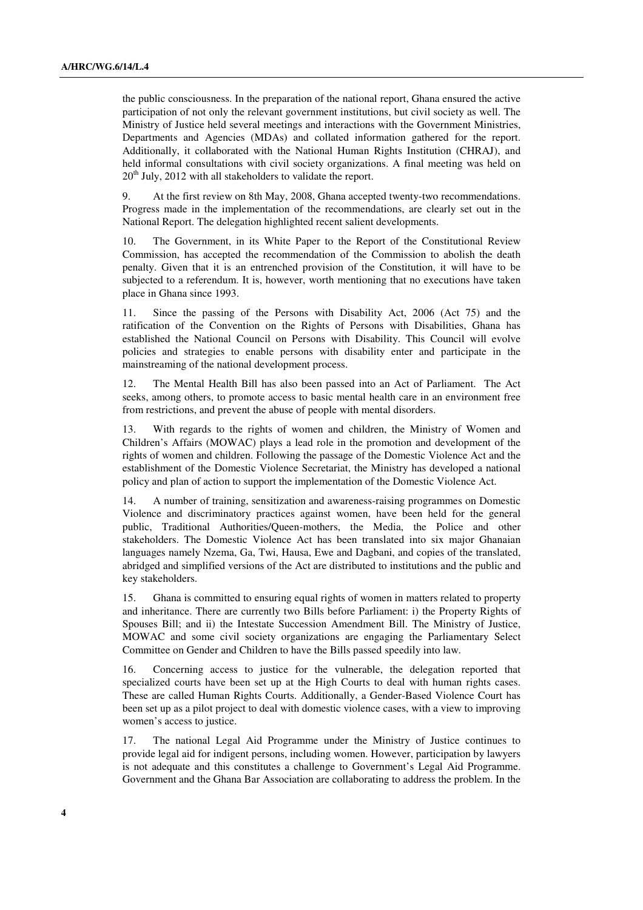the public consciousness. In the preparation of the national report, Ghana ensured the active participation of not only the relevant government institutions, but civil society as well. The Ministry of Justice held several meetings and interactions with the Government Ministries, Departments and Agencies (MDAs) and collated information gathered for the report. Additionally, it collaborated with the National Human Rights Institution (CHRAJ), and held informal consultations with civil society organizations. A final meeting was held on  $20<sup>th</sup>$  July, 2012 with all stakeholders to validate the report.

9. At the first review on 8th May, 2008, Ghana accepted twenty-two recommendations. Progress made in the implementation of the recommendations, are clearly set out in the National Report. The delegation highlighted recent salient developments.

10. The Government, in its White Paper to the Report of the Constitutional Review Commission, has accepted the recommendation of the Commission to abolish the death penalty. Given that it is an entrenched provision of the Constitution, it will have to be subjected to a referendum. It is, however, worth mentioning that no executions have taken place in Ghana since 1993.

Since the passing of the Persons with Disability Act, 2006 (Act 75) and the ratification of the Convention on the Rights of Persons with Disabilities, Ghana has established the National Council on Persons with Disability. This Council will evolve policies and strategies to enable persons with disability enter and participate in the mainstreaming of the national development process.

12. The Mental Health Bill has also been passed into an Act of Parliament. The Act seeks, among others, to promote access to basic mental health care in an environment free from restrictions, and prevent the abuse of people with mental disorders.

13. With regards to the rights of women and children, the Ministry of Women and Children's Affairs (MOWAC) plays a lead role in the promotion and development of the rights of women and children. Following the passage of the Domestic Violence Act and the establishment of the Domestic Violence Secretariat, the Ministry has developed a national policy and plan of action to support the implementation of the Domestic Violence Act.

14. A number of training, sensitization and awareness-raising programmes on Domestic Violence and discriminatory practices against women, have been held for the general public, Traditional Authorities/Queen-mothers, the Media, the Police and other stakeholders. The Domestic Violence Act has been translated into six major Ghanaian languages namely Nzema, Ga, Twi, Hausa, Ewe and Dagbani, and copies of the translated, abridged and simplified versions of the Act are distributed to institutions and the public and key stakeholders.

15. Ghana is committed to ensuring equal rights of women in matters related to property and inheritance. There are currently two Bills before Parliament: i) the Property Rights of Spouses Bill; and ii) the Intestate Succession Amendment Bill. The Ministry of Justice, MOWAC and some civil society organizations are engaging the Parliamentary Select Committee on Gender and Children to have the Bills passed speedily into law.

16. Concerning access to justice for the vulnerable, the delegation reported that specialized courts have been set up at the High Courts to deal with human rights cases. These are called Human Rights Courts. Additionally, a Gender-Based Violence Court has been set up as a pilot project to deal with domestic violence cases, with a view to improving women's access to justice.

17. The national Legal Aid Programme under the Ministry of Justice continues to provide legal aid for indigent persons, including women. However, participation by lawyers is not adequate and this constitutes a challenge to Government's Legal Aid Programme. Government and the Ghana Bar Association are collaborating to address the problem. In the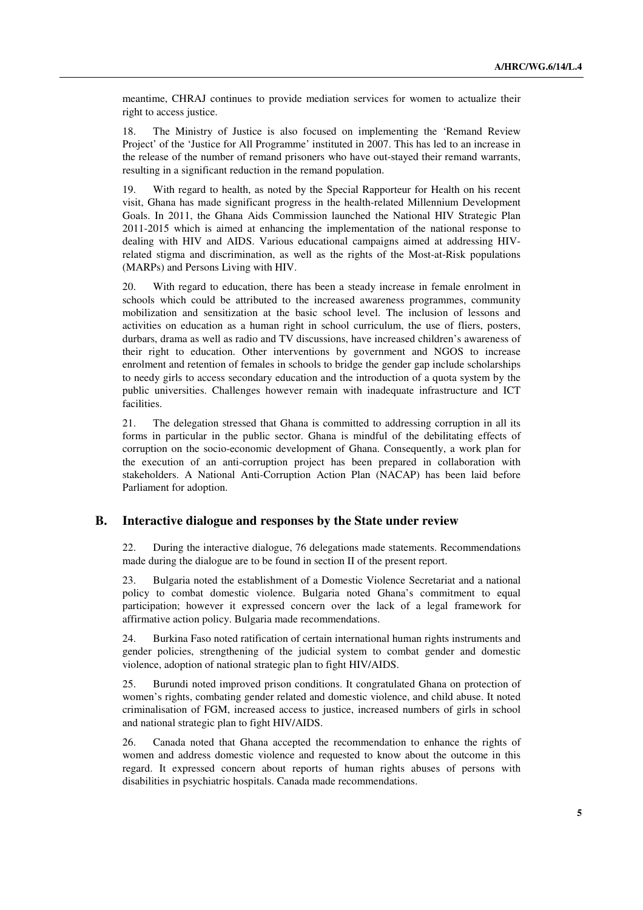meantime, CHRAJ continues to provide mediation services for women to actualize their right to access justice.

18. The Ministry of Justice is also focused on implementing the 'Remand Review Project' of the 'Justice for All Programme' instituted in 2007. This has led to an increase in the release of the number of remand prisoners who have out-stayed their remand warrants, resulting in a significant reduction in the remand population.

19. With regard to health, as noted by the Special Rapporteur for Health on his recent visit, Ghana has made significant progress in the health-related Millennium Development Goals. In 2011, the Ghana Aids Commission launched the National HIV Strategic Plan 2011-2015 which is aimed at enhancing the implementation of the national response to dealing with HIV and AIDS. Various educational campaigns aimed at addressing HIVrelated stigma and discrimination, as well as the rights of the Most-at-Risk populations (MARPs) and Persons Living with HIV.

20. With regard to education, there has been a steady increase in female enrolment in schools which could be attributed to the increased awareness programmes, community mobilization and sensitization at the basic school level. The inclusion of lessons and activities on education as a human right in school curriculum, the use of fliers, posters, durbars, drama as well as radio and TV discussions, have increased children's awareness of their right to education. Other interventions by government and NGOS to increase enrolment and retention of females in schools to bridge the gender gap include scholarships to needy girls to access secondary education and the introduction of a quota system by the public universities. Challenges however remain with inadequate infrastructure and ICT facilities.

21. The delegation stressed that Ghana is committed to addressing corruption in all its forms in particular in the public sector. Ghana is mindful of the debilitating effects of corruption on the socio-economic development of Ghana. Consequently, a work plan for the execution of an anti-corruption project has been prepared in collaboration with stakeholders. A National Anti-Corruption Action Plan (NACAP) has been laid before Parliament for adoption.

#### **B. Interactive dialogue and responses by the State under review**

22. During the interactive dialogue, 76 delegations made statements. Recommendations made during the dialogue are to be found in section II of the present report.

23. Bulgaria noted the establishment of a Domestic Violence Secretariat and a national policy to combat domestic violence. Bulgaria noted Ghana's commitment to equal participation; however it expressed concern over the lack of a legal framework for affirmative action policy. Bulgaria made recommendations.

24. Burkina Faso noted ratification of certain international human rights instruments and gender policies, strengthening of the judicial system to combat gender and domestic violence, adoption of national strategic plan to fight HIV/AIDS.

25. Burundi noted improved prison conditions. It congratulated Ghana on protection of women's rights, combating gender related and domestic violence, and child abuse. It noted criminalisation of FGM, increased access to justice, increased numbers of girls in school and national strategic plan to fight HIV/AIDS.

26. Canada noted that Ghana accepted the recommendation to enhance the rights of women and address domestic violence and requested to know about the outcome in this regard. It expressed concern about reports of human rights abuses of persons with disabilities in psychiatric hospitals. Canada made recommendations.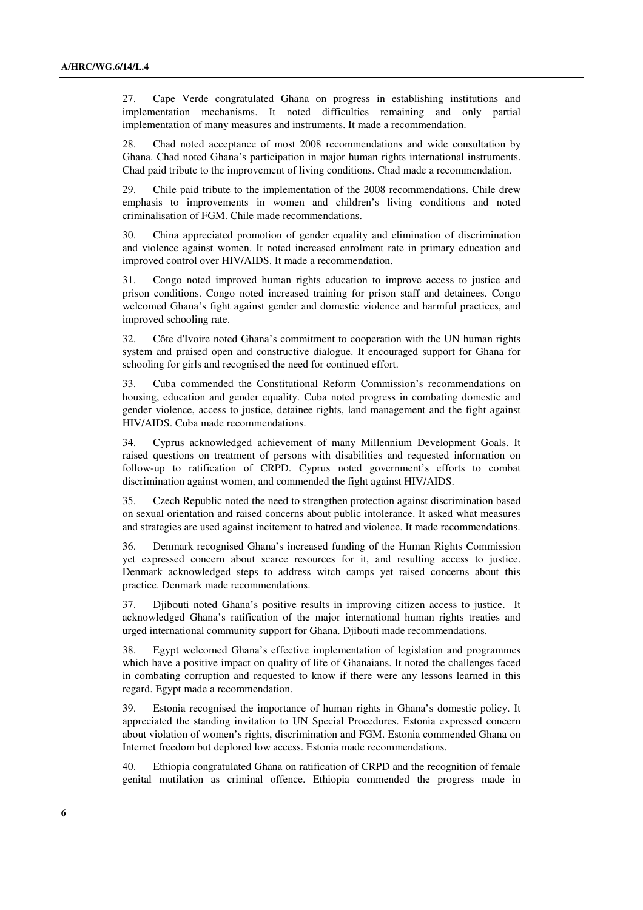27. Cape Verde congratulated Ghana on progress in establishing institutions and implementation mechanisms. It noted difficulties remaining and only partial implementation of many measures and instruments. It made a recommendation.

28. Chad noted acceptance of most 2008 recommendations and wide consultation by Ghana. Chad noted Ghana's participation in major human rights international instruments. Chad paid tribute to the improvement of living conditions. Chad made a recommendation.

29. Chile paid tribute to the implementation of the 2008 recommendations. Chile drew emphasis to improvements in women and children's living conditions and noted criminalisation of FGM. Chile made recommendations.

30. China appreciated promotion of gender equality and elimination of discrimination and violence against women. It noted increased enrolment rate in primary education and improved control over HIV/AIDS. It made a recommendation.

31. Congo noted improved human rights education to improve access to justice and prison conditions. Congo noted increased training for prison staff and detainees. Congo welcomed Ghana's fight against gender and domestic violence and harmful practices, and improved schooling rate.

32. Côte d'Ivoire noted Ghana's commitment to cooperation with the UN human rights system and praised open and constructive dialogue. It encouraged support for Ghana for schooling for girls and recognised the need for continued effort.

33. Cuba commended the Constitutional Reform Commission's recommendations on housing, education and gender equality. Cuba noted progress in combating domestic and gender violence, access to justice, detainee rights, land management and the fight against HIV/AIDS. Cuba made recommendations.

34. Cyprus acknowledged achievement of many Millennium Development Goals. It raised questions on treatment of persons with disabilities and requested information on follow-up to ratification of CRPD. Cyprus noted government's efforts to combat discrimination against women, and commended the fight against HIV/AIDS.

35. Czech Republic noted the need to strengthen protection against discrimination based on sexual orientation and raised concerns about public intolerance. It asked what measures and strategies are used against incitement to hatred and violence. It made recommendations.

36. Denmark recognised Ghana's increased funding of the Human Rights Commission yet expressed concern about scarce resources for it, and resulting access to justice. Denmark acknowledged steps to address witch camps yet raised concerns about this practice. Denmark made recommendations.

37. Djibouti noted Ghana's positive results in improving citizen access to justice. It acknowledged Ghana's ratification of the major international human rights treaties and urged international community support for Ghana. Djibouti made recommendations.

38. Egypt welcomed Ghana's effective implementation of legislation and programmes which have a positive impact on quality of life of Ghanaians. It noted the challenges faced in combating corruption and requested to know if there were any lessons learned in this regard. Egypt made a recommendation.

39. Estonia recognised the importance of human rights in Ghana's domestic policy. It appreciated the standing invitation to UN Special Procedures. Estonia expressed concern about violation of women's rights, discrimination and FGM. Estonia commended Ghana on Internet freedom but deplored low access. Estonia made recommendations.

40. Ethiopia congratulated Ghana on ratification of CRPD and the recognition of female genital mutilation as criminal offence. Ethiopia commended the progress made in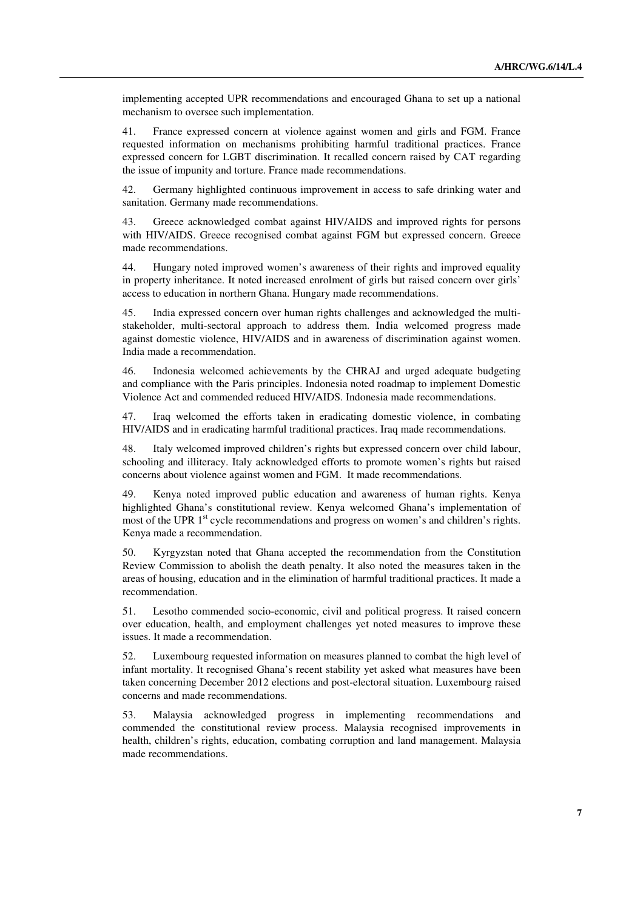implementing accepted UPR recommendations and encouraged Ghana to set up a national mechanism to oversee such implementation.

41. France expressed concern at violence against women and girls and FGM. France requested information on mechanisms prohibiting harmful traditional practices. France expressed concern for LGBT discrimination. It recalled concern raised by CAT regarding the issue of impunity and torture. France made recommendations.

42. Germany highlighted continuous improvement in access to safe drinking water and sanitation. Germany made recommendations.

43. Greece acknowledged combat against HIV/AIDS and improved rights for persons with HIV/AIDS. Greece recognised combat against FGM but expressed concern. Greece made recommendations.

44. Hungary noted improved women's awareness of their rights and improved equality in property inheritance. It noted increased enrolment of girls but raised concern over girls' access to education in northern Ghana. Hungary made recommendations.

45. India expressed concern over human rights challenges and acknowledged the multistakeholder, multi-sectoral approach to address them. India welcomed progress made against domestic violence, HIV/AIDS and in awareness of discrimination against women. India made a recommendation.

46. Indonesia welcomed achievements by the CHRAJ and urged adequate budgeting and compliance with the Paris principles. Indonesia noted roadmap to implement Domestic Violence Act and commended reduced HIV/AIDS. Indonesia made recommendations.

47. Iraq welcomed the efforts taken in eradicating domestic violence, in combating HIV/AIDS and in eradicating harmful traditional practices. Iraq made recommendations.

48. Italy welcomed improved children's rights but expressed concern over child labour, schooling and illiteracy. Italy acknowledged efforts to promote women's rights but raised concerns about violence against women and FGM. It made recommendations.

49. Kenya noted improved public education and awareness of human rights. Kenya highlighted Ghana's constitutional review. Kenya welcomed Ghana's implementation of most of the UPR 1<sup>st</sup> cycle recommendations and progress on women's and children's rights. Kenya made a recommendation.

50. Kyrgyzstan noted that Ghana accepted the recommendation from the Constitution Review Commission to abolish the death penalty. It also noted the measures taken in the areas of housing, education and in the elimination of harmful traditional practices. It made a recommendation.

51. Lesotho commended socio-economic, civil and political progress. It raised concern over education, health, and employment challenges yet noted measures to improve these issues. It made a recommendation.

52. Luxembourg requested information on measures planned to combat the high level of infant mortality. It recognised Ghana's recent stability yet asked what measures have been taken concerning December 2012 elections and post-electoral situation. Luxembourg raised concerns and made recommendations.

53. Malaysia acknowledged progress in implementing recommendations commended the constitutional review process. Malaysia recognised improvements in health, children's rights, education, combating corruption and land management. Malaysia made recommendations.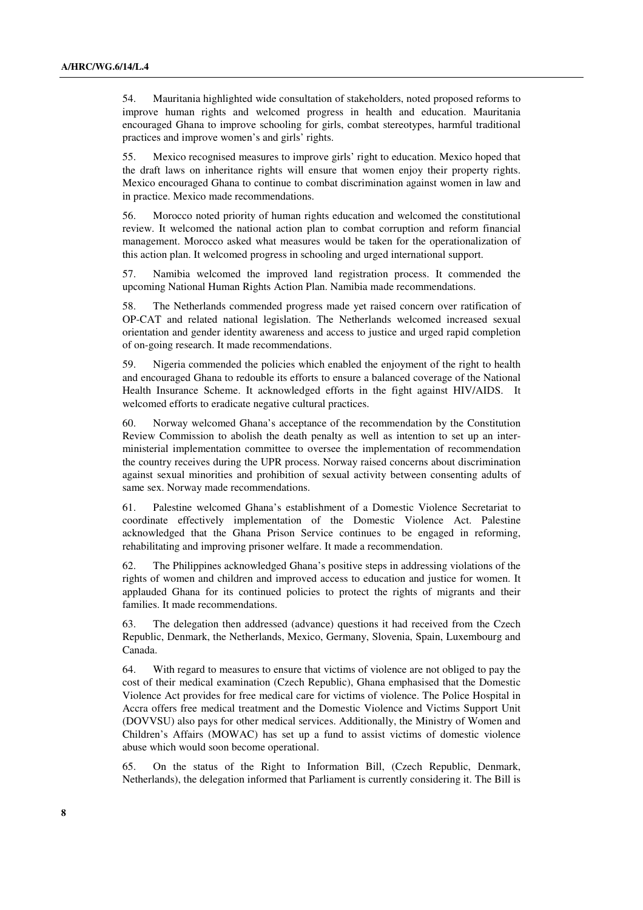54. Mauritania highlighted wide consultation of stakeholders, noted proposed reforms to improve human rights and welcomed progress in health and education. Mauritania encouraged Ghana to improve schooling for girls, combat stereotypes, harmful traditional practices and improve women's and girls' rights.

55. Mexico recognised measures to improve girls' right to education. Mexico hoped that the draft laws on inheritance rights will ensure that women enjoy their property rights. Mexico encouraged Ghana to continue to combat discrimination against women in law and in practice. Mexico made recommendations.

56. Morocco noted priority of human rights education and welcomed the constitutional review. It welcomed the national action plan to combat corruption and reform financial management. Morocco asked what measures would be taken for the operationalization of this action plan. It welcomed progress in schooling and urged international support.

57. Namibia welcomed the improved land registration process. It commended the upcoming National Human Rights Action Plan. Namibia made recommendations.

58. The Netherlands commended progress made yet raised concern over ratification of OP-CAT and related national legislation. The Netherlands welcomed increased sexual orientation and gender identity awareness and access to justice and urged rapid completion of on-going research. It made recommendations.

59. Nigeria commended the policies which enabled the enjoyment of the right to health and encouraged Ghana to redouble its efforts to ensure a balanced coverage of the National Health Insurance Scheme. It acknowledged efforts in the fight against HIV/AIDS. It welcomed efforts to eradicate negative cultural practices.

60. Norway welcomed Ghana's acceptance of the recommendation by the Constitution Review Commission to abolish the death penalty as well as intention to set up an interministerial implementation committee to oversee the implementation of recommendation the country receives during the UPR process. Norway raised concerns about discrimination against sexual minorities and prohibition of sexual activity between consenting adults of same sex. Norway made recommendations.

61. Palestine welcomed Ghana's establishment of a Domestic Violence Secretariat to coordinate effectively implementation of the Domestic Violence Act. Palestine acknowledged that the Ghana Prison Service continues to be engaged in reforming, rehabilitating and improving prisoner welfare. It made a recommendation.

62. The Philippines acknowledged Ghana's positive steps in addressing violations of the rights of women and children and improved access to education and justice for women. It applauded Ghana for its continued policies to protect the rights of migrants and their families. It made recommendations.

63. The delegation then addressed (advance) questions it had received from the Czech Republic, Denmark, the Netherlands, Mexico, Germany, Slovenia, Spain, Luxembourg and Canada.

64. With regard to measures to ensure that victims of violence are not obliged to pay the cost of their medical examination (Czech Republic), Ghana emphasised that the Domestic Violence Act provides for free medical care for victims of violence. The Police Hospital in Accra offers free medical treatment and the Domestic Violence and Victims Support Unit (DOVVSU) also pays for other medical services. Additionally, the Ministry of Women and Children's Affairs (MOWAC) has set up a fund to assist victims of domestic violence abuse which would soon become operational.

65. On the status of the Right to Information Bill, (Czech Republic, Denmark, Netherlands), the delegation informed that Parliament is currently considering it. The Bill is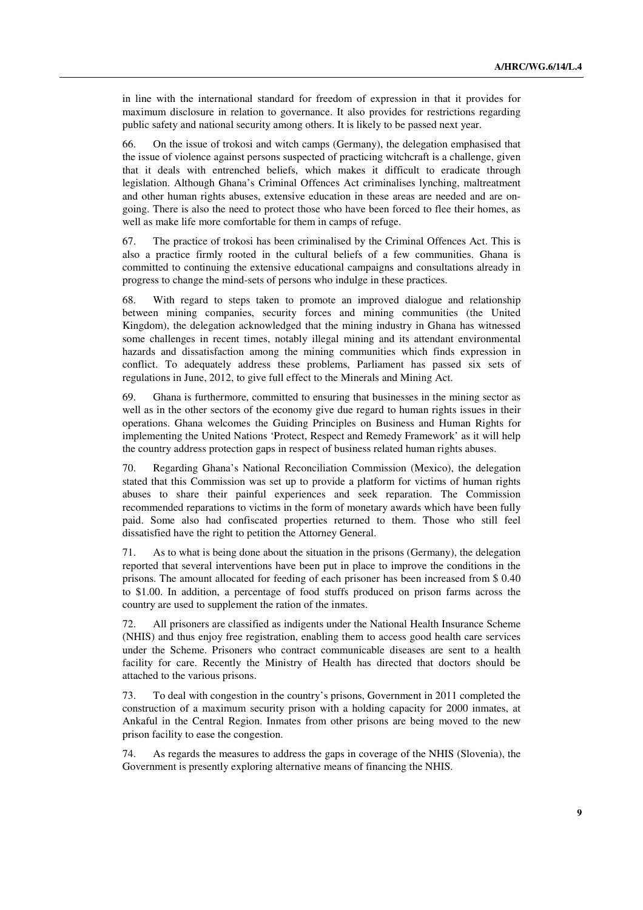in line with the international standard for freedom of expression in that it provides for maximum disclosure in relation to governance. It also provides for restrictions regarding public safety and national security among others. It is likely to be passed next year.

66. On the issue of trokosi and witch camps (Germany), the delegation emphasised that the issue of violence against persons suspected of practicing witchcraft is a challenge, given that it deals with entrenched beliefs, which makes it difficult to eradicate through legislation. Although Ghana's Criminal Offences Act criminalises lynching, maltreatment and other human rights abuses, extensive education in these areas are needed and are ongoing. There is also the need to protect those who have been forced to flee their homes, as well as make life more comfortable for them in camps of refuge.

67. The practice of trokosi has been criminalised by the Criminal Offences Act. This is also a practice firmly rooted in the cultural beliefs of a few communities. Ghana is committed to continuing the extensive educational campaigns and consultations already in progress to change the mind-sets of persons who indulge in these practices.

68. With regard to steps taken to promote an improved dialogue and relationship between mining companies, security forces and mining communities (the United Kingdom), the delegation acknowledged that the mining industry in Ghana has witnessed some challenges in recent times, notably illegal mining and its attendant environmental hazards and dissatisfaction among the mining communities which finds expression in conflict. To adequately address these problems, Parliament has passed six sets of regulations in June, 2012, to give full effect to the Minerals and Mining Act.

69. Ghana is furthermore, committed to ensuring that businesses in the mining sector as well as in the other sectors of the economy give due regard to human rights issues in their operations. Ghana welcomes the Guiding Principles on Business and Human Rights for implementing the United Nations 'Protect, Respect and Remedy Framework' as it will help the country address protection gaps in respect of business related human rights abuses.

70. Regarding Ghana's National Reconciliation Commission (Mexico), the delegation stated that this Commission was set up to provide a platform for victims of human rights abuses to share their painful experiences and seek reparation. The Commission recommended reparations to victims in the form of monetary awards which have been fully paid. Some also had confiscated properties returned to them. Those who still feel dissatisfied have the right to petition the Attorney General.

71. As to what is being done about the situation in the prisons (Germany), the delegation reported that several interventions have been put in place to improve the conditions in the prisons. The amount allocated for feeding of each prisoner has been increased from \$ 0.40 to \$1.00. In addition, a percentage of food stuffs produced on prison farms across the country are used to supplement the ration of the inmates.

72. All prisoners are classified as indigents under the National Health Insurance Scheme (NHIS) and thus enjoy free registration, enabling them to access good health care services under the Scheme. Prisoners who contract communicable diseases are sent to a health facility for care. Recently the Ministry of Health has directed that doctors should be attached to the various prisons.

73. To deal with congestion in the country's prisons, Government in 2011 completed the construction of a maximum security prison with a holding capacity for 2000 inmates, at Ankaful in the Central Region. Inmates from other prisons are being moved to the new prison facility to ease the congestion.

74. As regards the measures to address the gaps in coverage of the NHIS (Slovenia), the Government is presently exploring alternative means of financing the NHIS.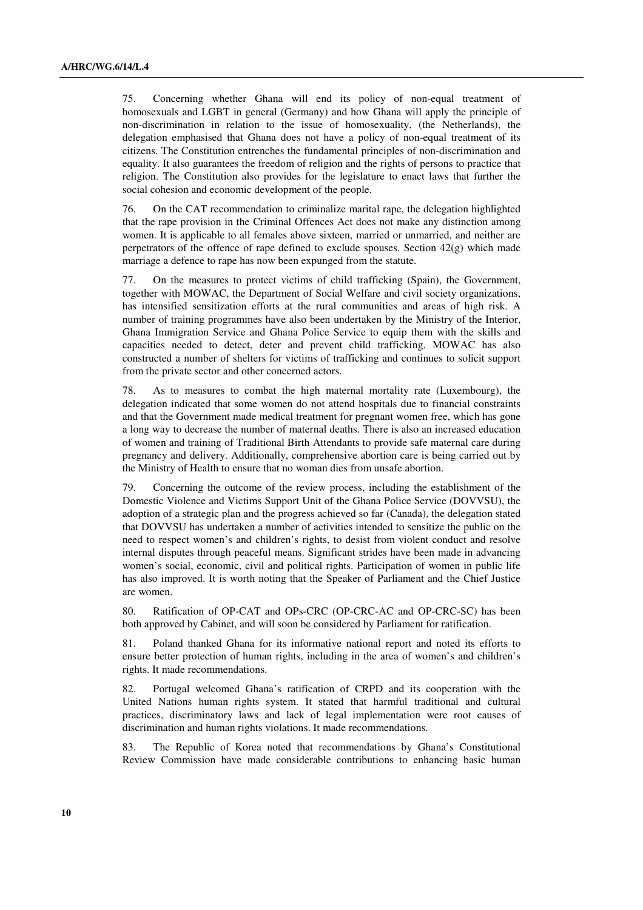75. Concerning whether Ghana will end its policy of non-equal treatment of homosexuals and LGBT in general (Germany) and how Ghana will apply the principle of non-discrimination in relation to the issue of homosexuality, (the Netherlands), the delegation emphasised that Ghana does not have a policy of non-equal treatment of its citizens. The Constitution entrenches the fundamental principles of non-discrimination and equality. It also guarantees the freedom of religion and the rights of persons to practice that religion. The Constitution also provides for the legislature to enact laws that further the social cohesion and economic development of the people.

76. On the CAT recommendation to criminalize marital rape, the delegation highlighted that the rape provision in the Criminal Offences Act does not make any distinction among women. It is applicable to all females above sixteen, married or unmarried, and neither are perpetrators of the offence of rape defined to exclude spouses. Section  $42(g)$  which made marriage a defence to rape has now been expunged from the statute.

77. On the measures to protect victims of child trafficking (Spain), the Government, together with MOWAC, the Department of Social Welfare and civil society organizations, has intensified sensitization efforts at the rural communities and areas of high risk. A number of training programmes have also been undertaken by the Ministry of the Interior, Ghana Immigration Service and Ghana Police Service to equip them with the skills and capacities needed to detect, deter and prevent child trafficking. MOWAC has also constructed a number of shelters for victims of trafficking and continues to solicit support from the private sector and other concerned actors.

78. As to measures to combat the high maternal mortality rate (Luxembourg), the delegation indicated that some women do not attend hospitals due to financial constraints and that the Government made medical treatment for pregnant women free, which has gone a long way to decrease the number of maternal deaths. There is also an increased education of women and training of Traditional Birth Attendants to provide safe maternal care during pregnancy and delivery. Additionally, comprehensive abortion care is being carried out by the Ministry of Health to ensure that no woman dies from unsafe abortion.

79. Concerning the outcome of the review process, including the establishment of the Domestic Violence and Victims Support Unit of the Ghana Police Service (DOVVSU), the adoption of a strategic plan and the progress achieved so far (Canada), the delegation stated that DOVVSU has undertaken a number of activities intended to sensitize the public on the need to respect women's and children's rights, to desist from violent conduct and resolve internal disputes through peaceful means. Significant strides have been made in advancing women's social, economic, civil and political rights. Participation of women in public life has also improved. It is worth noting that the Speaker of Parliament and the Chief Justice are women.

80. Ratification of OP-CAT and OPs-CRC (OP-CRC-AC and OP-CRC-SC) has been both approved by Cabinet, and will soon be considered by Parliament for ratification.

81. Poland thanked Ghana for its informative national report and noted its efforts to ensure better protection of human rights, including in the area of women's and children's rights. It made recommendations.

82. Portugal welcomed Ghana's ratification of CRPD and its cooperation with the United Nations human rights system. It stated that harmful traditional and cultural practices, discriminatory laws and lack of legal implementation were root causes of discrimination and human rights violations. It made recommendations.

83. The Republic of Korea noted that recommendations by Ghana's Constitutional Review Commission have made considerable contributions to enhancing basic human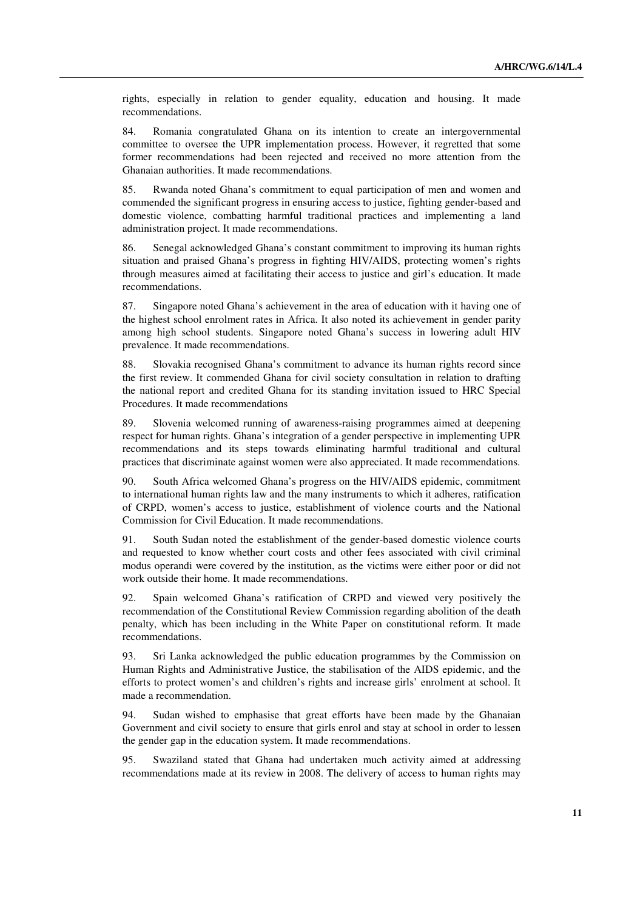rights, especially in relation to gender equality, education and housing. It made recommendations.

84. Romania congratulated Ghana on its intention to create an intergovernmental committee to oversee the UPR implementation process. However, it regretted that some former recommendations had been rejected and received no more attention from the Ghanaian authorities. It made recommendations.

85. Rwanda noted Ghana's commitment to equal participation of men and women and commended the significant progress in ensuring access to justice, fighting gender-based and domestic violence, combatting harmful traditional practices and implementing a land administration project. It made recommendations.

86. Senegal acknowledged Ghana's constant commitment to improving its human rights situation and praised Ghana's progress in fighting HIV/AIDS, protecting women's rights through measures aimed at facilitating their access to justice and girl's education. It made recommendations.

87. Singapore noted Ghana's achievement in the area of education with it having one of the highest school enrolment rates in Africa. It also noted its achievement in gender parity among high school students. Singapore noted Ghana's success in lowering adult HIV prevalence. It made recommendations.

88. Slovakia recognised Ghana's commitment to advance its human rights record since the first review. It commended Ghana for civil society consultation in relation to drafting the national report and credited Ghana for its standing invitation issued to HRC Special Procedures. It made recommendations

89. Slovenia welcomed running of awareness-raising programmes aimed at deepening respect for human rights. Ghana's integration of a gender perspective in implementing UPR recommendations and its steps towards eliminating harmful traditional and cultural practices that discriminate against women were also appreciated. It made recommendations.

90. South Africa welcomed Ghana's progress on the HIV/AIDS epidemic, commitment to international human rights law and the many instruments to which it adheres, ratification of CRPD, women's access to justice, establishment of violence courts and the National Commission for Civil Education. It made recommendations.

91. South Sudan noted the establishment of the gender-based domestic violence courts and requested to know whether court costs and other fees associated with civil criminal modus operandi were covered by the institution, as the victims were either poor or did not work outside their home. It made recommendations.

92. Spain welcomed Ghana's ratification of CRPD and viewed very positively the recommendation of the Constitutional Review Commission regarding abolition of the death penalty, which has been including in the White Paper on constitutional reform. It made recommendations.

93. Sri Lanka acknowledged the public education programmes by the Commission on Human Rights and Administrative Justice, the stabilisation of the AIDS epidemic, and the efforts to protect women's and children's rights and increase girls' enrolment at school. It made a recommendation.

94. Sudan wished to emphasise that great efforts have been made by the Ghanaian Government and civil society to ensure that girls enrol and stay at school in order to lessen the gender gap in the education system. It made recommendations.

95. Swaziland stated that Ghana had undertaken much activity aimed at addressing recommendations made at its review in 2008. The delivery of access to human rights may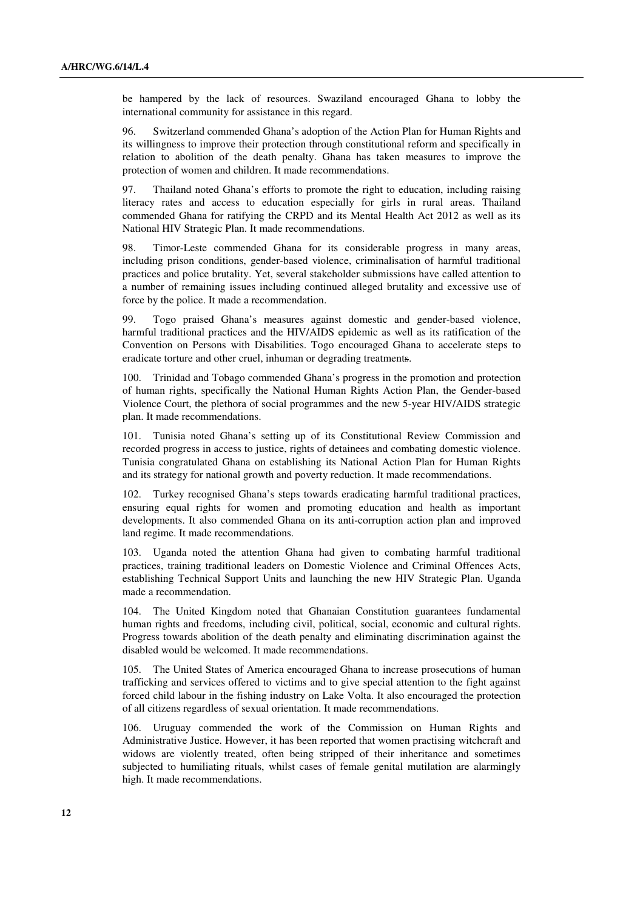be hampered by the lack of resources. Swaziland encouraged Ghana to lobby the international community for assistance in this regard.

96. Switzerland commended Ghana's adoption of the Action Plan for Human Rights and its willingness to improve their protection through constitutional reform and specifically in relation to abolition of the death penalty. Ghana has taken measures to improve the protection of women and children. It made recommendations.

97. Thailand noted Ghana's efforts to promote the right to education, including raising literacy rates and access to education especially for girls in rural areas. Thailand commended Ghana for ratifying the CRPD and its Mental Health Act 2012 as well as its National HIV Strategic Plan. It made recommendations.

98. Timor-Leste commended Ghana for its considerable progress in many areas, including prison conditions, gender-based violence, criminalisation of harmful traditional practices and police brutality. Yet, several stakeholder submissions have called attention to a number of remaining issues including continued alleged brutality and excessive use of force by the police. It made a recommendation.

99. Togo praised Ghana's measures against domestic and gender-based violence, harmful traditional practices and the HIV/AIDS epidemic as well as its ratification of the Convention on Persons with Disabilities. Togo encouraged Ghana to accelerate steps to eradicate torture and other cruel, inhuman or degrading treatments.

100. Trinidad and Tobago commended Ghana's progress in the promotion and protection of human rights, specifically the National Human Rights Action Plan, the Gender-based Violence Court, the plethora of social programmes and the new 5-year HIV/AIDS strategic plan. It made recommendations.

101. Tunisia noted Ghana's setting up of its Constitutional Review Commission and recorded progress in access to justice, rights of detainees and combating domestic violence. Tunisia congratulated Ghana on establishing its National Action Plan for Human Rights and its strategy for national growth and poverty reduction. It made recommendations.

102. Turkey recognised Ghana's steps towards eradicating harmful traditional practices, ensuring equal rights for women and promoting education and health as important developments. It also commended Ghana on its anti-corruption action plan and improved land regime. It made recommendations.

103. Uganda noted the attention Ghana had given to combating harmful traditional practices, training traditional leaders on Domestic Violence and Criminal Offences Acts, establishing Technical Support Units and launching the new HIV Strategic Plan. Uganda made a recommendation.

104. The United Kingdom noted that Ghanaian Constitution guarantees fundamental human rights and freedoms, including civil, political, social, economic and cultural rights. Progress towards abolition of the death penalty and eliminating discrimination against the disabled would be welcomed. It made recommendations.

105. The United States of America encouraged Ghana to increase prosecutions of human trafficking and services offered to victims and to give special attention to the fight against forced child labour in the fishing industry on Lake Volta. It also encouraged the protection of all citizens regardless of sexual orientation. It made recommendations.

106. Uruguay commended the work of the Commission on Human Rights and Administrative Justice. However, it has been reported that women practising witchcraft and widows are violently treated, often being stripped of their inheritance and sometimes subjected to humiliating rituals, whilst cases of female genital mutilation are alarmingly high. It made recommendations.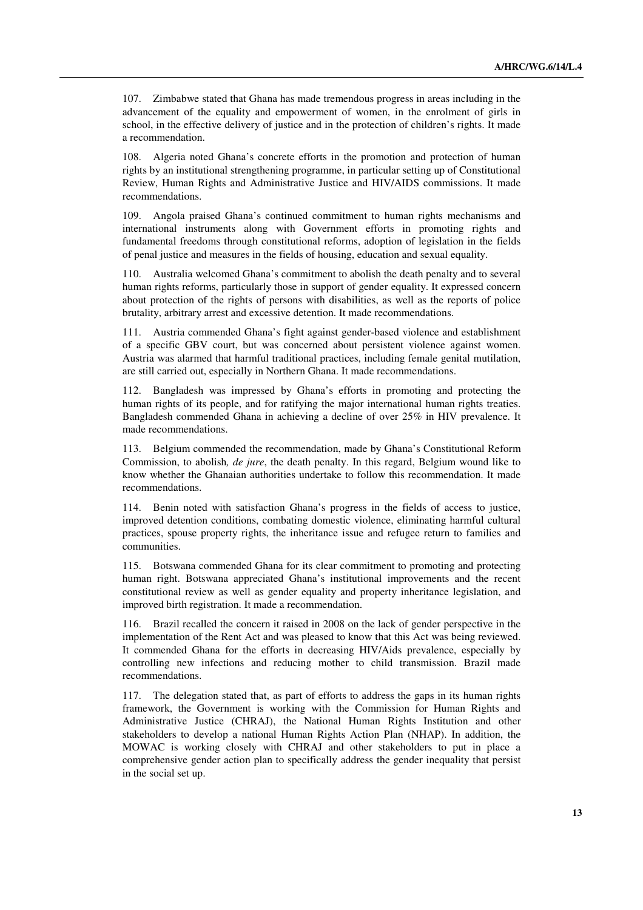107. Zimbabwe stated that Ghana has made tremendous progress in areas including in the advancement of the equality and empowerment of women, in the enrolment of girls in school, in the effective delivery of justice and in the protection of children's rights. It made a recommendation.

108. Algeria noted Ghana's concrete efforts in the promotion and protection of human rights by an institutional strengthening programme, in particular setting up of Constitutional Review, Human Rights and Administrative Justice and HIV/AIDS commissions. It made recommendations.

109. Angola praised Ghana's continued commitment to human rights mechanisms and international instruments along with Government efforts in promoting rights and fundamental freedoms through constitutional reforms, adoption of legislation in the fields of penal justice and measures in the fields of housing, education and sexual equality.

110. Australia welcomed Ghana's commitment to abolish the death penalty and to several human rights reforms, particularly those in support of gender equality. It expressed concern about protection of the rights of persons with disabilities, as well as the reports of police brutality, arbitrary arrest and excessive detention. It made recommendations.

111. Austria commended Ghana's fight against gender-based violence and establishment of a specific GBV court, but was concerned about persistent violence against women. Austria was alarmed that harmful traditional practices, including female genital mutilation, are still carried out, especially in Northern Ghana. It made recommendations.

112. Bangladesh was impressed by Ghana's efforts in promoting and protecting the human rights of its people, and for ratifying the major international human rights treaties. Bangladesh commended Ghana in achieving a decline of over 25% in HIV prevalence. It made recommendations.

113. Belgium commended the recommendation, made by Ghana's Constitutional Reform Commission, to abolish*, de jure*, the death penalty. In this regard, Belgium wound like to know whether the Ghanaian authorities undertake to follow this recommendation. It made recommendations.

114. Benin noted with satisfaction Ghana's progress in the fields of access to justice, improved detention conditions, combating domestic violence, eliminating harmful cultural practices, spouse property rights, the inheritance issue and refugee return to families and communities.

115. Botswana commended Ghana for its clear commitment to promoting and protecting human right. Botswana appreciated Ghana's institutional improvements and the recent constitutional review as well as gender equality and property inheritance legislation, and improved birth registration. It made a recommendation.

116. Brazil recalled the concern it raised in 2008 on the lack of gender perspective in the implementation of the Rent Act and was pleased to know that this Act was being reviewed. It commended Ghana for the efforts in decreasing HIV/Aids prevalence, especially by controlling new infections and reducing mother to child transmission. Brazil made recommendations.

117. The delegation stated that, as part of efforts to address the gaps in its human rights framework, the Government is working with the Commission for Human Rights and Administrative Justice (CHRAJ), the National Human Rights Institution and other stakeholders to develop a national Human Rights Action Plan (NHAP). In addition, the MOWAC is working closely with CHRAJ and other stakeholders to put in place a comprehensive gender action plan to specifically address the gender inequality that persist in the social set up.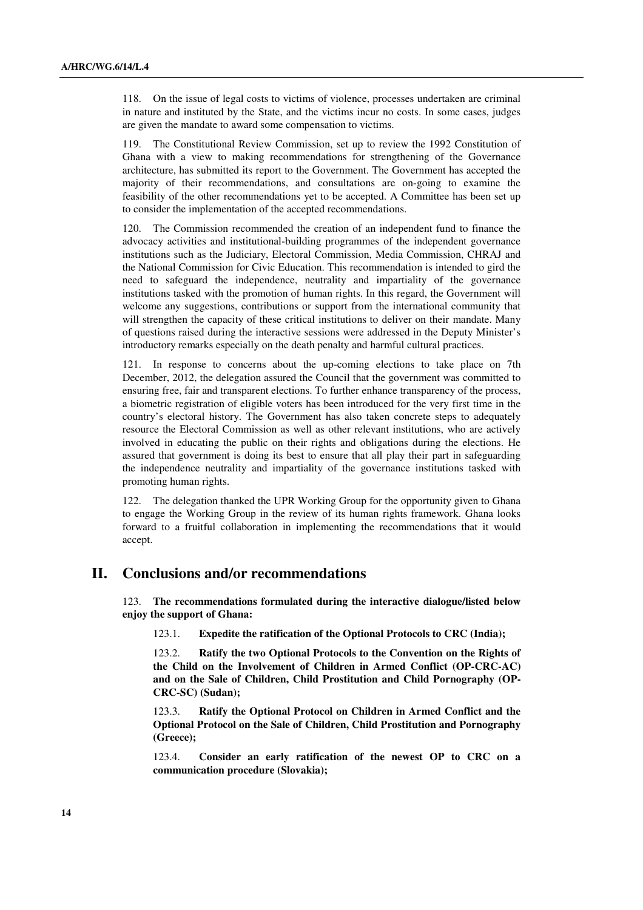118. On the issue of legal costs to victims of violence, processes undertaken are criminal in nature and instituted by the State, and the victims incur no costs. In some cases, judges are given the mandate to award some compensation to victims.

119. The Constitutional Review Commission, set up to review the 1992 Constitution of Ghana with a view to making recommendations for strengthening of the Governance architecture, has submitted its report to the Government. The Government has accepted the majority of their recommendations, and consultations are on-going to examine the feasibility of the other recommendations yet to be accepted. A Committee has been set up to consider the implementation of the accepted recommendations.

120. The Commission recommended the creation of an independent fund to finance the advocacy activities and institutional-building programmes of the independent governance institutions such as the Judiciary, Electoral Commission, Media Commission, CHRAJ and the National Commission for Civic Education. This recommendation is intended to gird the need to safeguard the independence, neutrality and impartiality of the governance institutions tasked with the promotion of human rights. In this regard, the Government will welcome any suggestions, contributions or support from the international community that will strengthen the capacity of these critical institutions to deliver on their mandate. Many of questions raised during the interactive sessions were addressed in the Deputy Minister's introductory remarks especially on the death penalty and harmful cultural practices.

121. In response to concerns about the up-coming elections to take place on 7th December, 2012, the delegation assured the Council that the government was committed to ensuring free, fair and transparent elections. To further enhance transparency of the process, a biometric registration of eligible voters has been introduced for the very first time in the country's electoral history. The Government has also taken concrete steps to adequately resource the Electoral Commission as well as other relevant institutions, who are actively involved in educating the public on their rights and obligations during the elections. He assured that government is doing its best to ensure that all play their part in safeguarding the independence neutrality and impartiality of the governance institutions tasked with promoting human rights.

122. The delegation thanked the UPR Working Group for the opportunity given to Ghana to engage the Working Group in the review of its human rights framework. Ghana looks forward to a fruitful collaboration in implementing the recommendations that it would accept.

# **II. Conclusions and/or recommendations**

123. **The recommendations formulated during the interactive dialogue/listed below enjoy the support of Ghana:**

123.1. **Expedite the ratification of the Optional Protocols to CRC (India);**

 123.2. **Ratify the two Optional Protocols to the Convention on the Rights of the Child on the Involvement of Children in Armed Conflict (OP-CRC-AC) and on the Sale of Children, Child Prostitution and Child Pornography (OP-CRC-SC) (Sudan);**

 123.3. **Ratify the Optional Protocol on Children in Armed Conflict and the Optional Protocol on the Sale of Children, Child Prostitution and Pornography (Greece);** 

 123.4. **Consider an early ratification of the newest OP to CRC on a communication procedure (Slovakia);**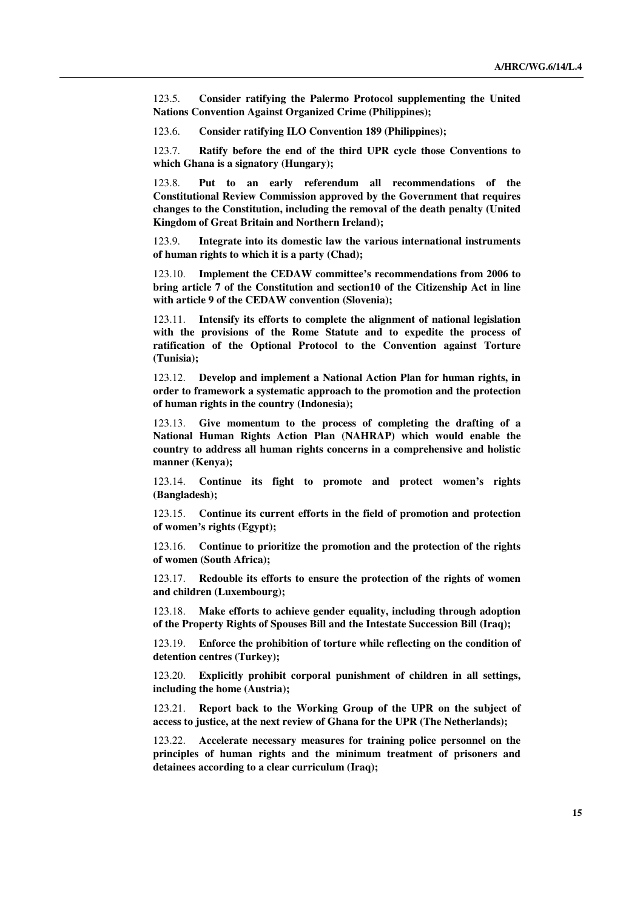123.5. **Consider ratifying the Palermo Protocol supplementing the United Nations Convention Against Organized Crime (Philippines);**

123.6. **Consider ratifying ILO Convention 189 (Philippines);**

 123.7. **Ratify before the end of the third UPR cycle those Conventions to which Ghana is a signatory (Hungary);** 

 123.8. **Put to an early referendum all recommendations of the Constitutional Review Commission approved by the Government that requires changes to the Constitution, including the removal of the death penalty (United Kingdom of Great Britain and Northern Ireland);**

 123.9. **Integrate into its domestic law the various international instruments of human rights to which it is a party (Chad);**

 123.10. **Implement the CEDAW committee's recommendations from 2006 to bring article 7 of the Constitution and section10 of the Citizenship Act in line with article 9 of the CEDAW convention (Slovenia);**

 123.11. **Intensify its efforts to complete the alignment of national legislation with the provisions of the Rome Statute and to expedite the process of ratification of the Optional Protocol to the Convention against Torture (Tunisia);**

 123.12. **Develop and implement a National Action Plan for human rights, in order to framework a systematic approach to the promotion and the protection of human rights in the country (Indonesia);**

 123.13. **Give momentum to the process of completing the drafting of a National Human Rights Action Plan (NAHRAP) which would enable the country to address all human rights concerns in a comprehensive and holistic manner (Kenya);**

 123.14. **Continue its fight to promote and protect women's rights (Bangladesh);**

 123.15. **Continue its current efforts in the field of promotion and protection of women's rights (Egypt);**

 123.16. **Continue to prioritize the promotion and the protection of the rights of women (South Africa);**

 123.17. **Redouble its efforts to ensure the protection of the rights of women and children (Luxembourg);**

 123.18. **Make efforts to achieve gender equality, including through adoption of the Property Rights of Spouses Bill and the Intestate Succession Bill (Iraq);**

 123.19. **Enforce the prohibition of torture while reflecting on the condition of detention centres (Turkey);**

 123.20. **Explicitly prohibit corporal punishment of children in all settings, including the home (Austria);**

 123.21. **Report back to the Working Group of the UPR on the subject of access to justice, at the next review of Ghana for the UPR (The Netherlands);**

 123.22. **Accelerate necessary measures for training police personnel on the principles of human rights and the minimum treatment of prisoners and detainees according to a clear curriculum (Iraq);**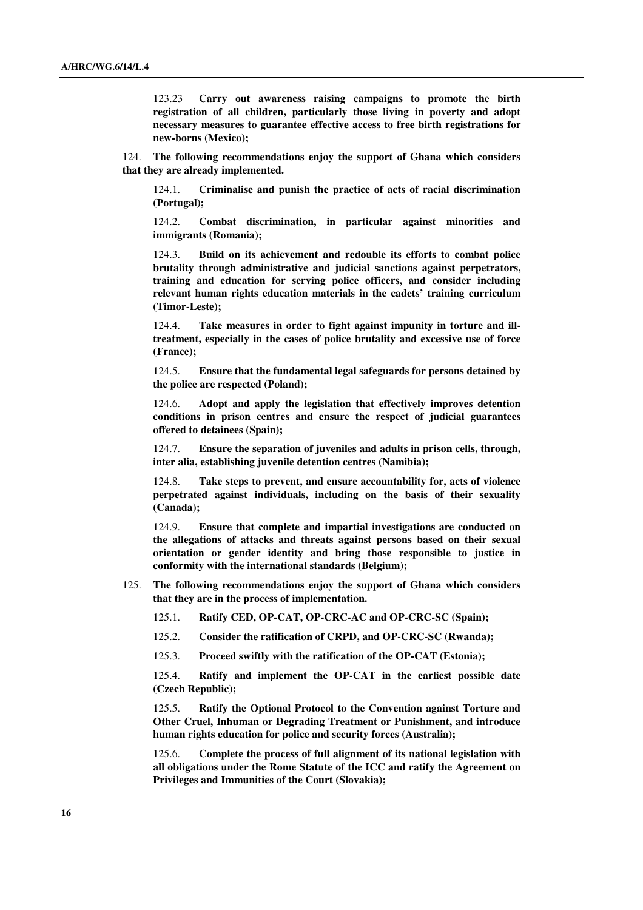123.23 **Carry out awareness raising campaigns to promote the birth registration of all children, particularly those living in poverty and adopt necessary measures to guarantee effective access to free birth registrations for new-borns (Mexico);** 

124. **The following recommendations enjoy the support of Ghana which considers that they are already implemented.**

 124.1. **Criminalise and punish the practice of acts of racial discrimination (Portugal);**

 124.2. **Combat discrimination, in particular against minorities and immigrants (Romania);**

 124.3. **Build on its achievement and redouble its efforts to combat police brutality through administrative and judicial sanctions against perpetrators, training and education for serving police officers, and consider including relevant human rights education materials in the cadets' training curriculum (Timor-Leste);**

 124.4. **Take measures in order to fight against impunity in torture and illtreatment, especially in the cases of police brutality and excessive use of force (France);** 

 124.5. **Ensure that the fundamental legal safeguards for persons detained by the police are respected (Poland);**

 124.6. **Adopt and apply the legislation that effectively improves detention conditions in prison centres and ensure the respect of judicial guarantees offered to detainees (Spain);**

 124.7. **Ensure the separation of juveniles and adults in prison cells, through, inter alia, establishing juvenile detention centres (Namibia);**

 124.8. **Take steps to prevent, and ensure accountability for, acts of violence perpetrated against individuals, including on the basis of their sexuality (Canada);**

 124.9. **Ensure that complete and impartial investigations are conducted on the allegations of attacks and threats against persons based on their sexual orientation or gender identity and bring those responsible to justice in conformity with the international standards (Belgium);**

- 125. **The following recommendations enjoy the support of Ghana which considers that they are in the process of implementation.**
	- 125.1. **Ratify CED, OP-CAT, OP-CRC-AC and OP-CRC-SC (Spain);**

125.2. **Consider the ratification of CRPD, and OP-CRC-SC (Rwanda);**

125.3. **Proceed swiftly with the ratification of the OP-CAT (Estonia);**

 125.4. **Ratify and implement the OP-CAT in the earliest possible date (Czech Republic);**

 125.5. **Ratify the Optional Protocol to the Convention against Torture and Other Cruel, Inhuman or Degrading Treatment or Punishment, and introduce human rights education for police and security forces (Australia);**

 125.6. **Complete the process of full alignment of its national legislation with all obligations under the Rome Statute of the ICC and ratify the Agreement on Privileges and Immunities of the Court (Slovakia);**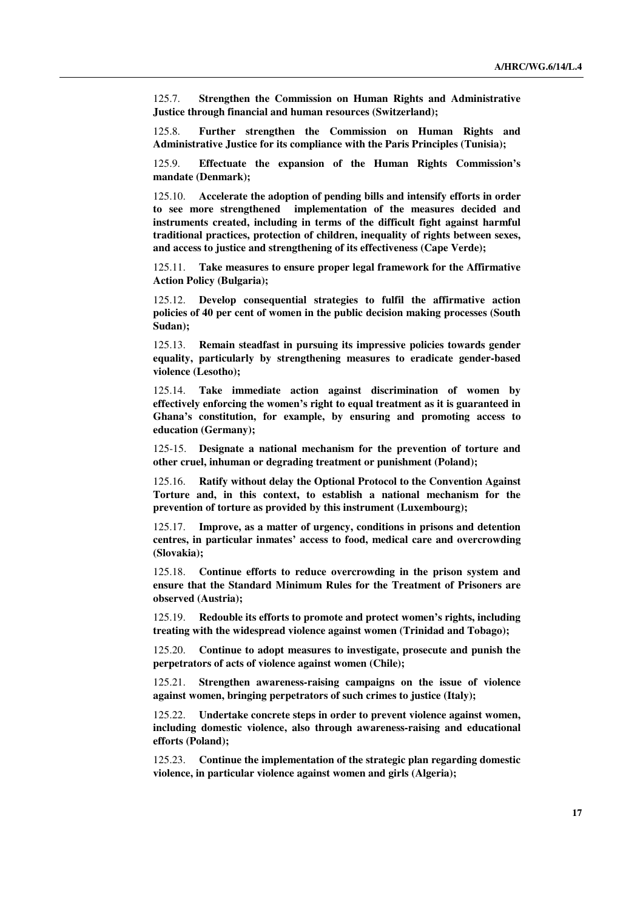125.7. **Strengthen the Commission on Human Rights and Administrative Justice through financial and human resources (Switzerland);**

 125.8. **Further strengthen the Commission on Human Rights and Administrative Justice for its compliance with the Paris Principles (Tunisia);**

 125.9. **Effectuate the expansion of the Human Rights Commission's mandate (Denmark);** 

 125.10. **Accelerate the adoption of pending bills and intensify efforts in order to see more strengthened implementation of the measures decided and instruments created, including in terms of the difficult fight against harmful traditional practices, protection of children, inequality of rights between sexes, and access to justice and strengthening of its effectiveness (Cape Verde);**

 125.11. **Take measures to ensure proper legal framework for the Affirmative Action Policy (Bulgaria);** 

 125.12. **Develop consequential strategies to fulfil the affirmative action policies of 40 per cent of women in the public decision making processes (South Sudan);**

 125.13. **Remain steadfast in pursuing its impressive policies towards gender equality, particularly by strengthening measures to eradicate gender-based violence (Lesotho);** 

 125.14. **Take immediate action against discrimination of women by effectively enforcing the women's right to equal treatment as it is guaranteed in Ghana's constitution, for example, by ensuring and promoting access to education (Germany);** 

 125-15. **Designate a national mechanism for the prevention of torture and other cruel, inhuman or degrading treatment or punishment (Poland);**

 125.16. **Ratify without delay the Optional Protocol to the Convention Against Torture and, in this context, to establish a national mechanism for the prevention of torture as provided by this instrument (Luxembourg);** 

 125.17. **Improve, as a matter of urgency, conditions in prisons and detention centres, in particular inmates' access to food, medical care and overcrowding (Slovakia);**

 125.18. **Continue efforts to reduce overcrowding in the prison system and ensure that the Standard Minimum Rules for the Treatment of Prisoners are observed (Austria);** 

 125.19. **Redouble its efforts to promote and protect women's rights, including treating with the widespread violence against women (Trinidad and Tobago);**

 125.20. **Continue to adopt measures to investigate, prosecute and punish the perpetrators of acts of violence against women (Chile);**

 125.21. **Strengthen awareness-raising campaigns on the issue of violence against women, bringing perpetrators of such crimes to justice (Italy);** 

 125.22. **Undertake concrete steps in order to prevent violence against women, including domestic violence, also through awareness-raising and educational efforts (Poland);** 

 125.23. **Continue the implementation of the strategic plan regarding domestic violence, in particular violence against women and girls (Algeria);**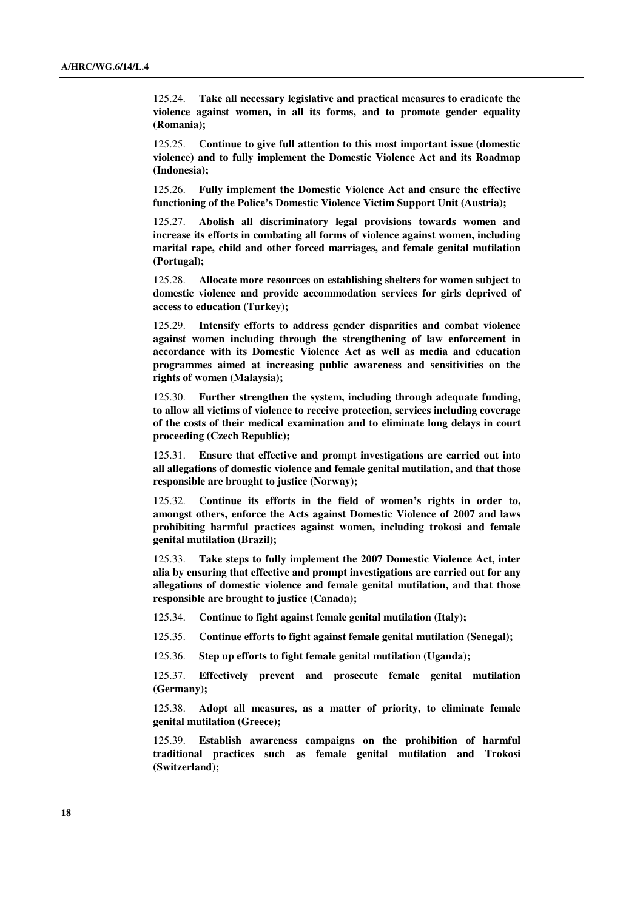125.24. **Take all necessary legislative and practical measures to eradicate the violence against women, in all its forms, and to promote gender equality (Romania);**

 125.25. **Continue to give full attention to this most important issue (domestic violence) and to fully implement the Domestic Violence Act and its Roadmap (Indonesia);** 

 125.26. **Fully implement the Domestic Violence Act and ensure the effective functioning of the Police's Domestic Violence Victim Support Unit (Austria);**

 125.27. **Abolish all discriminatory legal provisions towards women and increase its efforts in combating all forms of violence against women, including marital rape, child and other forced marriages, and female genital mutilation (Portugal);**

 125.28. **Allocate more resources on establishing shelters for women subject to domestic violence and provide accommodation services for girls deprived of access to education (Turkey);**

 125.29. **Intensify efforts to address gender disparities and combat violence against women including through the strengthening of law enforcement in accordance with its Domestic Violence Act as well as media and education programmes aimed at increasing public awareness and sensitivities on the rights of women (Malaysia);** 

 125.30. **Further strengthen the system, including through adequate funding, to allow all victims of violence to receive protection, services including coverage of the costs of their medical examination and to eliminate long delays in court proceeding (Czech Republic);**

 125.31. **Ensure that effective and prompt investigations are carried out into all allegations of domestic violence and female genital mutilation, and that those responsible are brought to justice (Norway);**

 125.32. **Continue its efforts in the field of women's rights in order to, amongst others, enforce the Acts against Domestic Violence of 2007 and laws prohibiting harmful practices against women, including trokosi and female genital mutilation (Brazil);**

 125.33. **Take steps to fully implement the 2007 Domestic Violence Act, inter alia by ensuring that effective and prompt investigations are carried out for any allegations of domestic violence and female genital mutilation, and that those responsible are brought to justice (Canada);**

125.34. **Continue to fight against female genital mutilation (Italy);**

125.35. **Continue efforts to fight against female genital mutilation (Senegal);**

125.36. **Step up efforts to fight female genital mutilation (Uganda);**

 125.37. **Effectively prevent and prosecute female genital mutilation (Germany);**

 125.38. **Adopt all measures, as a matter of priority, to eliminate female genital mutilation (Greece);**

 125.39. **Establish awareness campaigns on the prohibition of harmful traditional practices such as female genital mutilation and Trokosi (Switzerland);**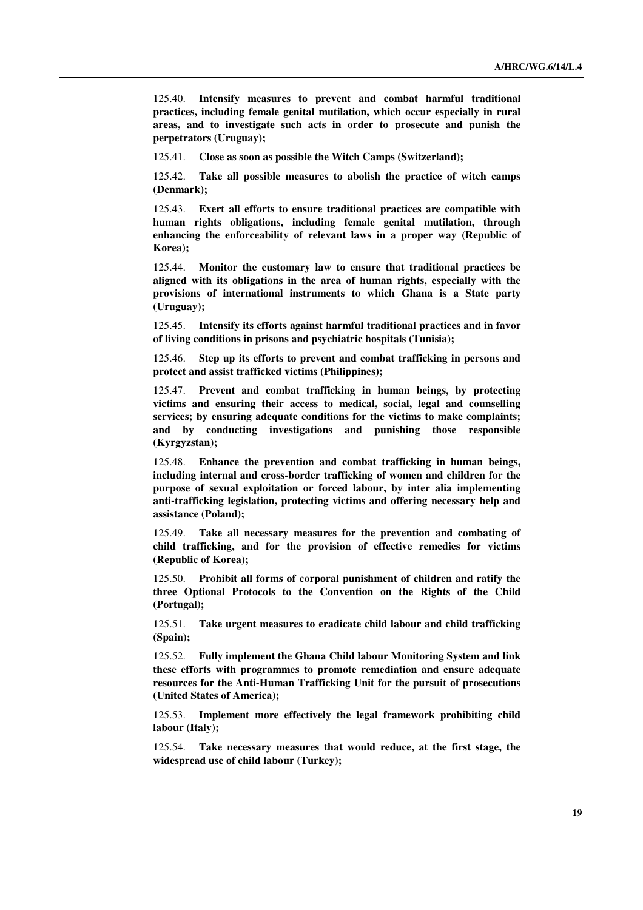125.40. **Intensify measures to prevent and combat harmful traditional practices, including female genital mutilation, which occur especially in rural areas, and to investigate such acts in order to prosecute and punish the perpetrators (Uruguay);**

125.41. **Close as soon as possible the Witch Camps (Switzerland);** 

 125.42. **Take all possible measures to abolish the practice of witch camps (Denmark);**

 125.43. **Exert all efforts to ensure traditional practices are compatible with human rights obligations, including female genital mutilation, through enhancing the enforceability of relevant laws in a proper way (Republic of Korea);**

 125.44. **Monitor the customary law to ensure that traditional practices be aligned with its obligations in the area of human rights, especially with the provisions of international instruments to which Ghana is a State party (Uruguay);**

 125.45. **Intensify its efforts against harmful traditional practices and in favor of living conditions in prisons and psychiatric hospitals (Tunisia);**

 125.46. **Step up its efforts to prevent and combat trafficking in persons and protect and assist trafficked victims (Philippines);**

 125.47. **Prevent and combat trafficking in human beings, by protecting victims and ensuring their access to medical, social, legal and counselling services; by ensuring adequate conditions for the victims to make complaints; and by conducting investigations and punishing those responsible (Kyrgyzstan);**

 125.48. **Enhance the prevention and combat trafficking in human beings, including internal and cross-border trafficking of women and children for the purpose of sexual exploitation or forced labour, by inter alia implementing anti-trafficking legislation, protecting victims and offering necessary help and assistance (Poland);**

 125.49. **Take all necessary measures for the prevention and combating of child trafficking, and for the provision of effective remedies for victims (Republic of Korea);**

 125.50. **Prohibit all forms of corporal punishment of children and ratify the three Optional Protocols to the Convention on the Rights of the Child (Portugal);**

 125.51. **Take urgent measures to eradicate child labour and child trafficking (Spain);** 

 125.52. **Fully implement the Ghana Child labour Monitoring System and link these efforts with programmes to promote remediation and ensure adequate resources for the Anti-Human Trafficking Unit for the pursuit of prosecutions (United States of America);**

 125.53. **Implement more effectively the legal framework prohibiting child labour (Italy);** 

 125.54. **Take necessary measures that would reduce, at the first stage, the widespread use of child labour (Turkey);**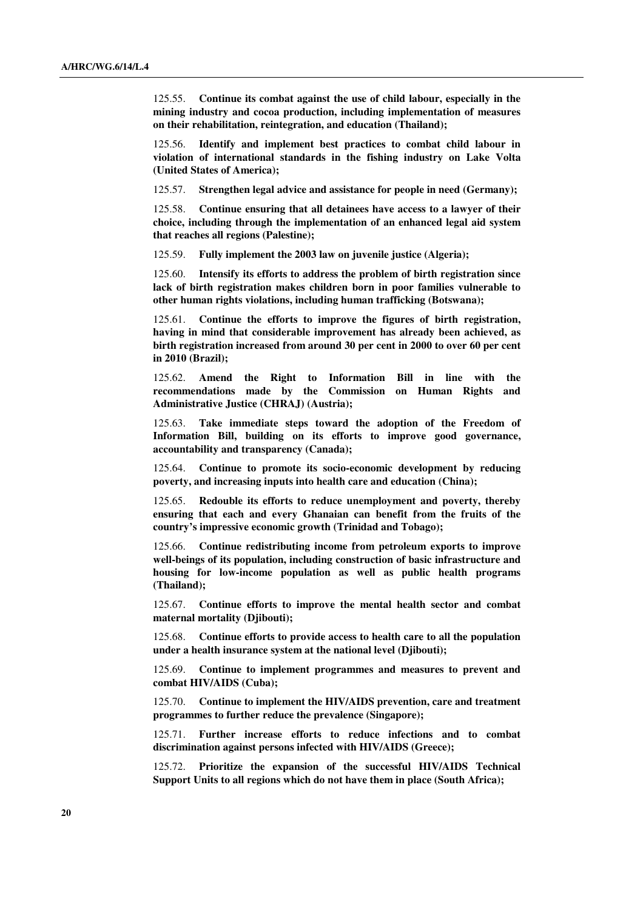125.55. **Continue its combat against the use of child labour, especially in the mining industry and cocoa production, including implementation of measures on their rehabilitation, reintegration, and education (Thailand);**

 125.56. **Identify and implement best practices to combat child labour in violation of international standards in the fishing industry on Lake Volta (United States of America);** 

125.57. **Strengthen legal advice and assistance for people in need (Germany);** 

 125.58. **Continue ensuring that all detainees have access to a lawyer of their choice, including through the implementation of an enhanced legal aid system that reaches all regions (Palestine);**

125.59. **Fully implement the 2003 law on juvenile justice (Algeria);**

 125.60. **Intensify its efforts to address the problem of birth registration since lack of birth registration makes children born in poor families vulnerable to other human rights violations, including human trafficking (Botswana);**

 125.61. **Continue the efforts to improve the figures of birth registration, having in mind that considerable improvement has already been achieved, as birth registration increased from around 30 per cent in 2000 to over 60 per cent in 2010 (Brazil);**

 125.62. **Amend the Right to Information Bill in line with the recommendations made by the Commission on Human Rights and Administrative Justice (CHRAJ) (Austria);**

 125.63. **Take immediate steps toward the adoption of the Freedom of Information Bill, building on its efforts to improve good governance, accountability and transparency (Canada);**

 125.64. **Continue to promote its socio-economic development by reducing poverty, and increasing inputs into health care and education (China);**

 125.65. **Redouble its efforts to reduce unemployment and poverty, thereby ensuring that each and every Ghanaian can benefit from the fruits of the country's impressive economic growth (Trinidad and Tobago);**

 125.66. **Continue redistributing income from petroleum exports to improve well-beings of its population, including construction of basic infrastructure and housing for low-income population as well as public health programs (Thailand);**

 125.67. **Continue efforts to improve the mental health sector and combat maternal mortality (Djibouti);**

 125.68. **Continue efforts to provide access to health care to all the population under a health insurance system at the national level (Djibouti);**

 125.69. **Continue to implement programmes and measures to prevent and combat HIV/AIDS (Cuba);**

 125.70. **Continue to implement the HIV/AIDS prevention, care and treatment programmes to further reduce the prevalence (Singapore);** 

 125.71. **Further increase efforts to reduce infections and to combat discrimination against persons infected with HIV/AIDS (Greece);**

 125.72. **Prioritize the expansion of the successful HIV/AIDS Technical Support Units to all regions which do not have them in place (South Africa);**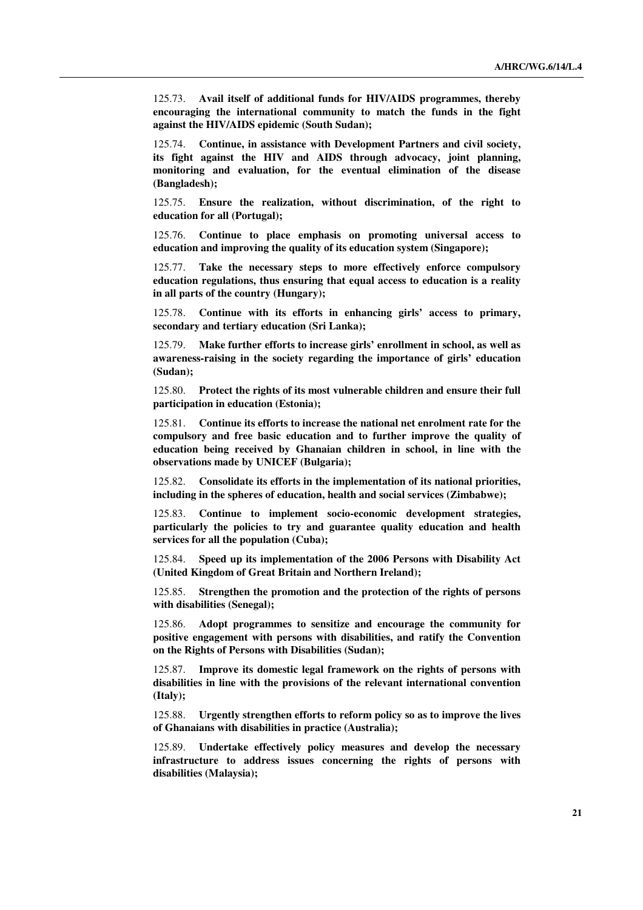125.73. **Avail itself of additional funds for HIV/AIDS programmes, thereby encouraging the international community to match the funds in the fight against the HIV/AIDS epidemic (South Sudan);**

 125.74. **Continue, in assistance with Development Partners and civil society, its fight against the HIV and AIDS through advocacy, joint planning, monitoring and evaluation, for the eventual elimination of the disease (Bangladesh);** 

 125.75. **Ensure the realization, without discrimination, of the right to education for all (Portugal);**

 125.76. **Continue to place emphasis on promoting universal access to education and improving the quality of its education system (Singapore);**

 125.77. **Take the necessary steps to more effectively enforce compulsory education regulations, thus ensuring that equal access to education is a reality in all parts of the country (Hungary);**

 125.78. **Continue with its efforts in enhancing girls' access to primary, secondary and tertiary education (Sri Lanka);**

 125.79. **Make further efforts to increase girls' enrollment in school, as well as awareness-raising in the society regarding the importance of girls' education (Sudan);** 

 125.80. **Protect the rights of its most vulnerable children and ensure their full participation in education (Estonia);**

 125.81. **Continue its efforts to increase the national net enrolment rate for the compulsory and free basic education and to further improve the quality of education being received by Ghanaian children in school, in line with the observations made by UNICEF (Bulgaria);**

 125.82. **Consolidate its efforts in the implementation of its national priorities, including in the spheres of education, health and social services (Zimbabwe);**

 125.83. **Continue to implement socio-economic development strategies, particularly the policies to try and guarantee quality education and health services for all the population (Cuba);**

 125.84. **Speed up its implementation of the 2006 Persons with Disability Act (United Kingdom of Great Britain and Northern Ireland);**

 125.85. **Strengthen the promotion and the protection of the rights of persons with disabilities (Senegal);** 

 125.86. **Adopt programmes to sensitize and encourage the community for positive engagement with persons with disabilities, and ratify the Convention on the Rights of Persons with Disabilities (Sudan);**

 125.87. **Improve its domestic legal framework on the rights of persons with disabilities in line with the provisions of the relevant international convention (Italy);** 

 125.88. **Urgently strengthen efforts to reform policy so as to improve the lives of Ghanaians with disabilities in practice (Australia);**

 125.89. **Undertake effectively policy measures and develop the necessary infrastructure to address issues concerning the rights of persons with disabilities (Malaysia);**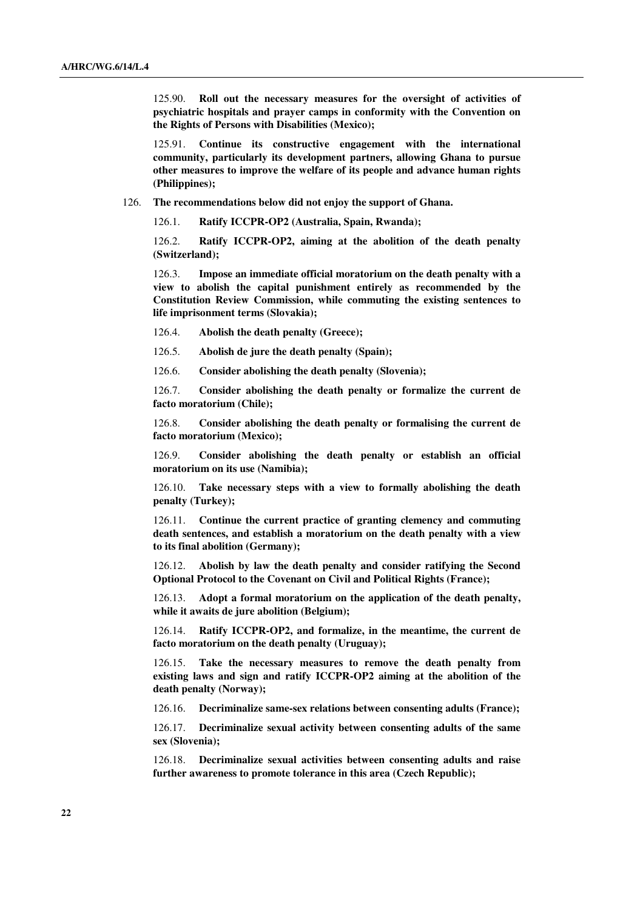125.90. **Roll out the necessary measures for the oversight of activities of psychiatric hospitals and prayer camps in conformity with the Convention on the Rights of Persons with Disabilities (Mexico);**

 125.91. **Continue its constructive engagement with the international community, particularly its development partners, allowing Ghana to pursue other measures to improve the welfare of its people and advance human rights (Philippines);**

126. **The recommendations below did not enjoy the support of Ghana.** 

126.1. **Ratify ICCPR-OP2 (Australia, Spain, Rwanda);**

 126.2. **Ratify ICCPR-OP2, aiming at the abolition of the death penalty (Switzerland);**

 126.3. **Impose an immediate official moratorium on the death penalty with a view to abolish the capital punishment entirely as recommended by the Constitution Review Commission, while commuting the existing sentences to life imprisonment terms (Slovakia);**

126.4. **Abolish the death penalty (Greece);** 

126.5. **Abolish de jure the death penalty (Spain);**

126.6. **Consider abolishing the death penalty (Slovenia);**

 126.7. **Consider abolishing the death penalty or formalize the current de facto moratorium (Chile);**

 126.8. **Consider abolishing the death penalty or formalising the current de facto moratorium (Mexico);**

 126.9. **Consider abolishing the death penalty or establish an official moratorium on its use (Namibia);** 

 126.10. **Take necessary steps with a view to formally abolishing the death penalty (Turkey);** 

 126.11. **Continue the current practice of granting clemency and commuting death sentences, and establish a moratorium on the death penalty with a view to its final abolition (Germany);**

 126.12. **Abolish by law the death penalty and consider ratifying the Second Optional Protocol to the Covenant on Civil and Political Rights (France);**

 126.13. **Adopt a formal moratorium on the application of the death penalty, while it awaits de jure abolition (Belgium);**

 126.14. **Ratify ICCPR-OP2, and formalize, in the meantime, the current de facto moratorium on the death penalty (Uruguay);**

 126.15. **Take the necessary measures to remove the death penalty from existing laws and sign and ratify ICCPR-OP2 aiming at the abolition of the death penalty (Norway);** 

126.16. **Decriminalize same-sex relations between consenting adults (France);**

 126.17. **Decriminalize sexual activity between consenting adults of the same sex (Slovenia);** 

 126.18. **Decriminalize sexual activities between consenting adults and raise further awareness to promote tolerance in this area (Czech Republic);**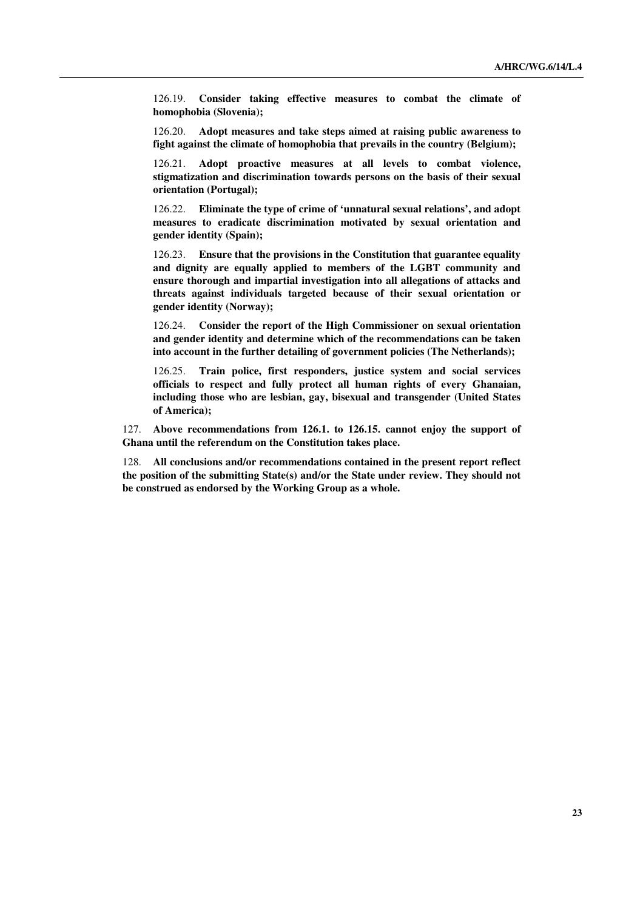126.19. **Consider taking effective measures to combat the climate of homophobia (Slovenia);**

 126.20. **Adopt measures and take steps aimed at raising public awareness to fight against the climate of homophobia that prevails in the country (Belgium);**

 126.21. **Adopt proactive measures at all levels to combat violence, stigmatization and discrimination towards persons on the basis of their sexual orientation (Portugal);**

 126.22. **Eliminate the type of crime of 'unnatural sexual relations', and adopt measures to eradicate discrimination motivated by sexual orientation and gender identity (Spain);**

 126.23. **Ensure that the provisions in the Constitution that guarantee equality and dignity are equally applied to members of the LGBT community and ensure thorough and impartial investigation into all allegations of attacks and threats against individuals targeted because of their sexual orientation or gender identity (Norway);**

 126.24. **Consider the report of the High Commissioner on sexual orientation and gender identity and determine which of the recommendations can be taken into account in the further detailing of government policies (The Netherlands);**

 126.25. **Train police, first responders, justice system and social services officials to respect and fully protect all human rights of every Ghanaian, including those who are lesbian, gay, bisexual and transgender (United States of America);**

127. **Above recommendations from 126.1. to 126.15. cannot enjoy the support of Ghana until the referendum on the Constitution takes place.**

128. **All conclusions and/or recommendations contained in the present report reflect the position of the submitting State(s) and/or the State under review. They should not be construed as endorsed by the Working Group as a whole.**